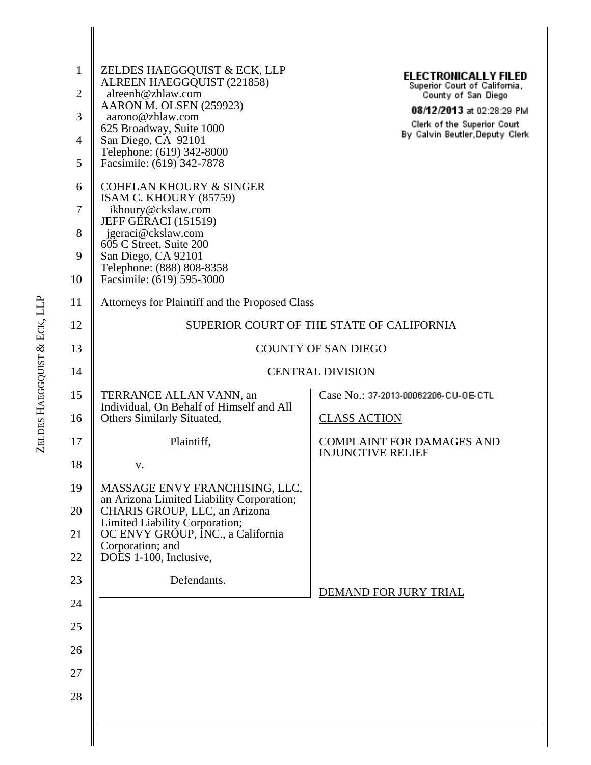| $\mathbf{1}$<br>$\overline{2}$<br>3<br>4<br>5<br>6<br>7<br>8<br>9<br>10 | ZELDES HAEGGQUIST & ECK, LLP<br>ALREEN HAEGGQUIST (221858)<br>alreenh@zhlaw.com<br>AARON M. OLSEN (259923)<br>aarono@zhlaw.com<br>625 Broadway, Suite 1000<br>San Diego, CA 92101<br>Telephone: (619) 342-8000<br>Facsimile: (619) 342-7878<br><b>COHELAN KHOURY &amp; SINGER</b><br>ISAM C. KHOURY (85759)<br>ikhoury@ckslaw.com<br><b>JEFF GERACI (151519)</b><br>jgeraci@ckslaw.com<br>605 C Street, Suite 200<br>San Diego, CA 92101<br>Telephone: (888) 808-8358<br>Facsimile: (619) 595-3000 | <b>ELECTRONICALLY FILED</b><br>Superior Court of California,<br>County of San Diego<br>08/12/2013 at 02:28:29 PM<br>Clerk of the Superior Court<br>By Calvin Beutler Deputy Clerk |  |  |
|-------------------------------------------------------------------------|----------------------------------------------------------------------------------------------------------------------------------------------------------------------------------------------------------------------------------------------------------------------------------------------------------------------------------------------------------------------------------------------------------------------------------------------------------------------------------------------------|-----------------------------------------------------------------------------------------------------------------------------------------------------------------------------------|--|--|
| 11                                                                      | Attorneys for Plaintiff and the Proposed Class                                                                                                                                                                                                                                                                                                                                                                                                                                                     |                                                                                                                                                                                   |  |  |
| 12                                                                      |                                                                                                                                                                                                                                                                                                                                                                                                                                                                                                    | SUPERIOR COURT OF THE STATE OF CALIFORNIA                                                                                                                                         |  |  |
| 13                                                                      |                                                                                                                                                                                                                                                                                                                                                                                                                                                                                                    | <b>COUNTY OF SAN DIEGO</b>                                                                                                                                                        |  |  |
| 14                                                                      |                                                                                                                                                                                                                                                                                                                                                                                                                                                                                                    | <b>CENTRAL DIVISION</b>                                                                                                                                                           |  |  |
| 15<br>16                                                                | TERRANCE ALLAN VANN, an<br>Individual, On Behalf of Himself and All<br>Others Similarly Situated,                                                                                                                                                                                                                                                                                                                                                                                                  | Case No.: 37-2013-00062206-CU-OE-CTL<br><b>CLASS ACTION</b>                                                                                                                       |  |  |
| 17                                                                      | Plaintiff,                                                                                                                                                                                                                                                                                                                                                                                                                                                                                         | <b>COMPLAINT FOR DAMAGES AND</b><br><b>INJUNCTIVE RELIEF</b>                                                                                                                      |  |  |
| 18                                                                      | V.                                                                                                                                                                                                                                                                                                                                                                                                                                                                                                 |                                                                                                                                                                                   |  |  |
| 19                                                                      | MASSAGE ENVY FRANCHISING, LLC,<br>an Arizona Limited Liability Corporation;                                                                                                                                                                                                                                                                                                                                                                                                                        |                                                                                                                                                                                   |  |  |
| 20                                                                      | CHARIS GROUP, LLC, an Arizona<br>Limited Liability Corporation;                                                                                                                                                                                                                                                                                                                                                                                                                                    |                                                                                                                                                                                   |  |  |
| 21<br>22                                                                | OC ENVY GROUP, INC., a California<br>Corporation; and<br>DOES 1-100, Inclusive,                                                                                                                                                                                                                                                                                                                                                                                                                    |                                                                                                                                                                                   |  |  |
| 23                                                                      | Defendants.                                                                                                                                                                                                                                                                                                                                                                                                                                                                                        |                                                                                                                                                                                   |  |  |
| 24                                                                      |                                                                                                                                                                                                                                                                                                                                                                                                                                                                                                    | DEMAND FOR JURY TRIAL                                                                                                                                                             |  |  |
| 25                                                                      |                                                                                                                                                                                                                                                                                                                                                                                                                                                                                                    |                                                                                                                                                                                   |  |  |
| 26                                                                      |                                                                                                                                                                                                                                                                                                                                                                                                                                                                                                    |                                                                                                                                                                                   |  |  |
| 27                                                                      |                                                                                                                                                                                                                                                                                                                                                                                                                                                                                                    |                                                                                                                                                                                   |  |  |
| 28                                                                      |                                                                                                                                                                                                                                                                                                                                                                                                                                                                                                    |                                                                                                                                                                                   |  |  |
|                                                                         |                                                                                                                                                                                                                                                                                                                                                                                                                                                                                                    |                                                                                                                                                                                   |  |  |
|                                                                         |                                                                                                                                                                                                                                                                                                                                                                                                                                                                                                    |                                                                                                                                                                                   |  |  |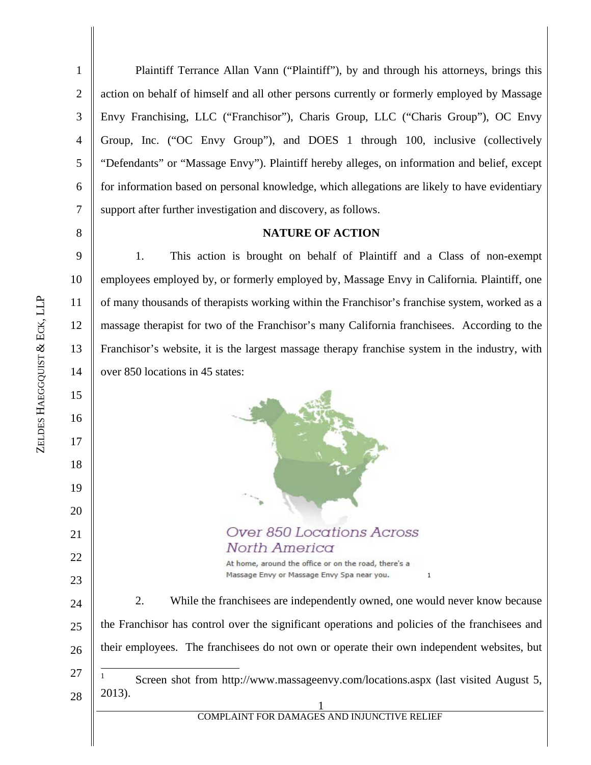9

10

11

12

13

14

1 2 3 4 5 6 7 Plaintiff Terrance Allan Vann ("Plaintiff"), by and through his attorneys, brings this action on behalf of himself and all other persons currently or formerly employed by Massage Envy Franchising, LLC ("Franchisor"), Charis Group, LLC ("Charis Group"), OC Envy Group, Inc. ("OC Envy Group"), and DOES 1 through 100, inclusive (collectively "Defendants" or "Massage Envy"). Plaintiff hereby alleges, on information and belief, except for information based on personal knowledge, which allegations are likely to have evidentiary support after further investigation and discovery, as follows.

### **NATURE OF ACTION**

1. This action is brought on behalf of Plaintiff and a Class of non-exempt employees employed by, or formerly employed by, Massage Envy in California*.* Plaintiff, one of many thousands of therapists working within the Franchisor's franchise system, worked as a massage therapist for two of the Franchisor's many California franchisees. According to the Franchisor's website, it is the largest massage therapy franchise system in the industry, with over 850 locations in 45 states:

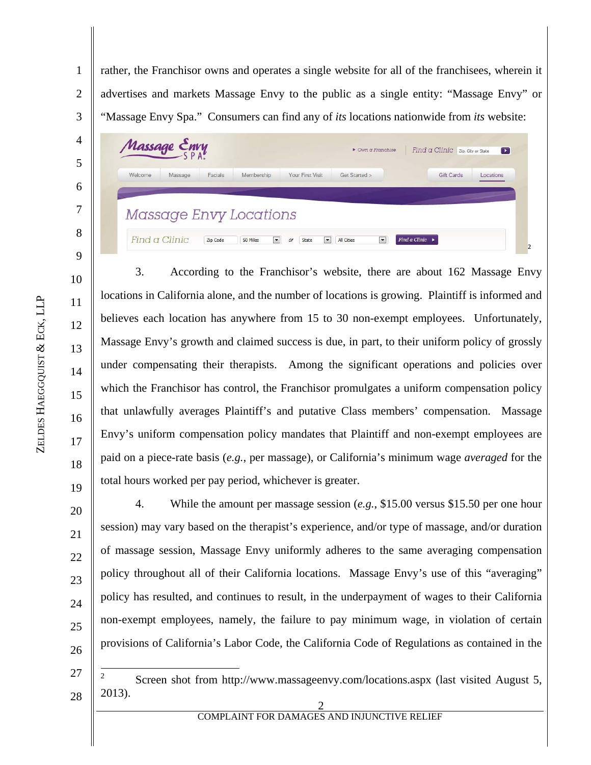1 2 3 rather, the Franchisor owns and operates a single website for all of the franchisees, wherein it advertises and markets Massage Envy to the public as a single entity: "Massage Envy" or "Massage Envy Spa." Consumers can find any of *its* locations nationwide from *its* website:

| Welcome | Massage | Facials | Membership             | Your First Visit | Get Started > | Gift Cards | <b>Ocations</b> |
|---------|---------|---------|------------------------|------------------|---------------|------------|-----------------|
|         |         |         |                        |                  |               |            |                 |
|         |         |         |                        |                  |               |            |                 |
|         |         |         | Massage Envy Locations |                  |               |            |                 |

3. According to the Franchisor's website, there are about 162 Massage Envy locations in California alone, and the number of locations is growing. Plaintiff is informed and believes each location has anywhere from 15 to 30 non-exempt employees. Unfortunately, Massage Envy's growth and claimed success is due, in part, to their uniform policy of grossly under compensating their therapists. Among the significant operations and policies over which the Franchisor has control, the Franchisor promulgates a uniform compensation policy that unlawfully averages Plaintiff's and putative Class members' compensation. Massage Envy's uniform compensation policy mandates that Plaintiff and non-exempt employees are paid on a piece-rate basis (*e.g.*, per massage), or California's minimum wage *averaged* for the total hours worked per pay period, whichever is greater.

20 22 23 24 25 26 4. While the amount per massage session (*e.g.*, \$15.00 versus \$15.50 per one hour session) may vary based on the therapist's experience, and/or type of massage, and/or duration of massage session, Massage Envy uniformly adheres to the same averaging compensation policy throughout all of their California locations. Massage Envy's use of this "averaging" policy has resulted, and continues to result, in the underpayment of wages to their California non-exempt employees, namely, the failure to pay minimum wage, in violation of certain provisions of California's Labor Code, the California Code of Regulations as contained in the

27 28  $\frac{1}{2}$  Screen shot from http://www.massageenvy.com/locations.aspx (last visited August 5, 2013).

4

5

6

7

8

9

10

11

12

13

14

15

16

17

18

19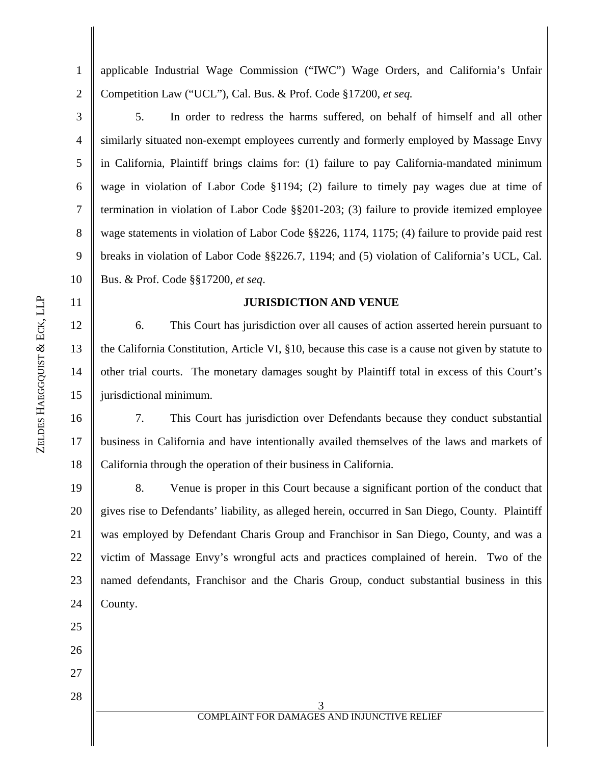1 2 applicable Industrial Wage Commission ("IWC") Wage Orders, and California's Unfair Competition Law ("UCL"), Cal. Bus. & Prof. Code §17200, *et seq.*

3 4 5 6 7 8 9 10 5. In order to redress the harms suffered, on behalf of himself and all other similarly situated non-exempt employees currently and formerly employed by Massage Envy in California, Plaintiff brings claims for: (1) failure to pay California-mandated minimum wage in violation of Labor Code §1194; (2) failure to timely pay wages due at time of termination in violation of Labor Code §§201-203; (3) failure to provide itemized employee wage statements in violation of Labor Code §§226, 1174, 1175; (4) failure to provide paid rest breaks in violation of Labor Code §§226.7, 1194; and (5) violation of California's UCL, Cal. Bus. & Prof. Code §§17200, *et seq*.

## **JURISDICTION AND VENUE**

6. This Court has jurisdiction over all causes of action asserted herein pursuant to the California Constitution, Article VI, §10, because this case is a cause not given by statute to other trial courts. The monetary damages sought by Plaintiff total in excess of this Court's jurisdictional minimum.

16 17 18 7. This Court has jurisdiction over Defendants because they conduct substantial business in California and have intentionally availed themselves of the laws and markets of California through the operation of their business in California.

19 20 21 22 23 24 8. Venue is proper in this Court because a significant portion of the conduct that gives rise to Defendants' liability, as alleged herein, occurred in San Diego, County. Plaintiff was employed by Defendant Charis Group and Franchisor in San Diego, County, and was a victim of Massage Envy's wrongful acts and practices complained of herein. Two of the named defendants, Franchisor and the Charis Group, conduct substantial business in this County.

&

ECK, LLP

11

12

13

14

15

25

26

27

28

3 COMPLAINT FOR DAMAGES AND INJUNCTIVE RELIEF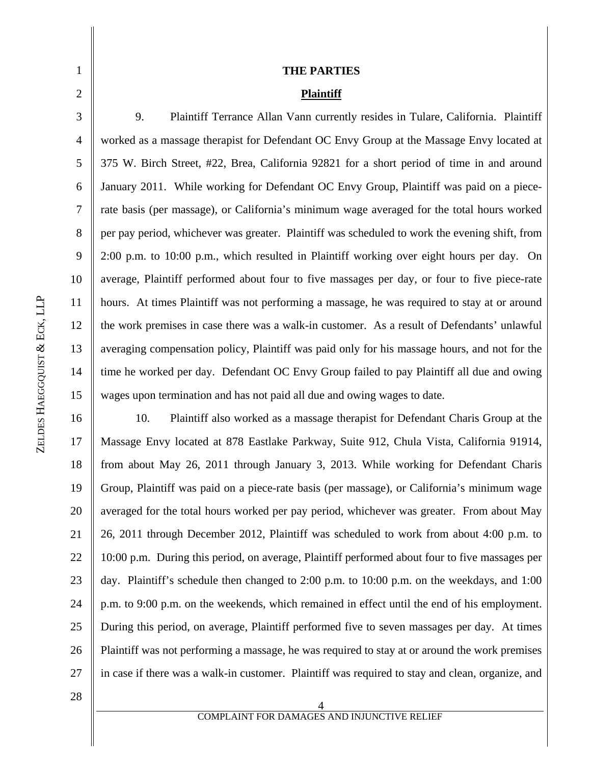| 1              | <b>THE PARTIES</b>                                                                             |
|----------------|------------------------------------------------------------------------------------------------|
| $\mathfrak{2}$ | <b>Plaintiff</b>                                                                               |
| 3              | 9.<br>Plaintiff Terrance Allan Vann currently resides in Tulare, California. Plaintiff         |
| $\overline{4}$ | worked as a massage therapist for Defendant OC Envy Group at the Massage Envy located at       |
| 5              | 375 W. Birch Street, #22, Brea, California 92821 for a short period of time in and around      |
| 6              | January 2011. While working for Defendant OC Envy Group, Plaintiff was paid on a piece-        |
| $\tau$         | rate basis (per massage), or California's minimum wage averaged for the total hours worked     |
| 8              | per pay period, whichever was greater. Plaintiff was scheduled to work the evening shift, from |
| 9              | 2:00 p.m. to 10:00 p.m., which resulted in Plaintiff working over eight hours per day. On      |
| 10             | average, Plaintiff performed about four to five massages per day, or four to five piece-rate   |
| 11             | hours. At times Plaintiff was not performing a massage, he was required to stay at or around   |
| 12             | the work premises in case there was a walk-in customer. As a result of Defendants' unlawful    |
| 13             | averaging compensation policy, Plaintiff was paid only for his massage hours, and not for the  |
| 14             | time he worked per day. Defendant OC Envy Group failed to pay Plaintiff all due and owing      |
| 15             | wages upon termination and has not paid all due and owing wages to date.                       |
| 16             | Plaintiff also worked as a massage therapist for Defendant Charis Group at the<br>10.          |
| 17             | Massage Envy located at 878 Eastlake Parkway, Suite 912, Chula Vista, California 91914,        |
| 1 Q            | from shout May 26, 2011 through January 2, 2012. While working for Defendant Charia            |

16 17 18 19 20 21 22 23 24 25 26 27 Massage Envy located at 878 Eastlake Parkway, Suite 912, Chula Vista, California 91914, from about May 26, 2011 through January 3, 2013. While working for Defendant Charis Group, Plaintiff was paid on a piece-rate basis (per massage), or California's minimum wage averaged for the total hours worked per pay period, whichever was greater. From about May 26, 2011 through December 2012, Plaintiff was scheduled to work from about 4:00 p.m. to 10:00 p.m. During this period, on average, Plaintiff performed about four to five massages per day. Plaintiff's schedule then changed to 2:00 p.m. to 10:00 p.m. on the weekdays, and 1:00 p.m. to 9:00 p.m. on the weekends, which remained in effect until the end of his employment. During this period, on average, Plaintiff performed five to seven massages per day. At times Plaintiff was not performing a massage, he was required to stay at or around the work premises in case if there was a walk-in customer. Plaintiff was required to stay and clean, organize, and

28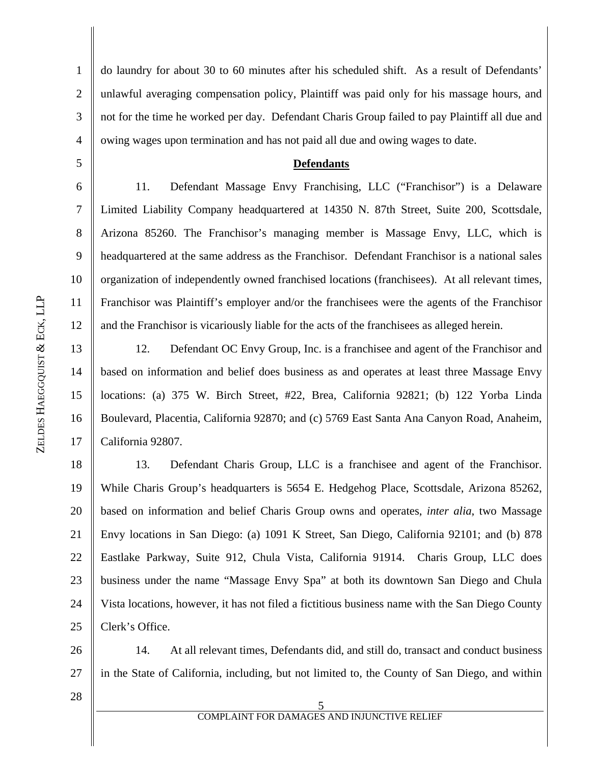1 2 3 4 do laundry for about 30 to 60 minutes after his scheduled shift. As a result of Defendants' unlawful averaging compensation policy, Plaintiff was paid only for his massage hours, and not for the time he worked per day. Defendant Charis Group failed to pay Plaintiff all due and owing wages upon termination and has not paid all due and owing wages to date.

#### **Defendants**

11. Defendant Massage Envy Franchising, LLC ("Franchisor") is a Delaware Limited Liability Company headquartered at 14350 N. 87th Street, Suite 200, Scottsdale, Arizona 85260. The Franchisor's managing member is Massage Envy, LLC, which is headquartered at the same address as the Franchisor. Defendant Franchisor is a national sales organization of independently owned franchised locations (franchisees). At all relevant times, Franchisor was Plaintiff's employer and/or the franchisees were the agents of the Franchisor and the Franchisor is vicariously liable for the acts of the franchisees as alleged herein.

13 14 15 16 17 12. Defendant OC Envy Group, Inc. is a franchisee and agent of the Franchisor and based on information and belief does business as and operates at least three Massage Envy locations: (a) 375 W. Birch Street, #22, Brea, California 92821; (b) 122 Yorba Linda Boulevard, Placentia, California 92870; and (c) 5769 East Santa Ana Canyon Road, Anaheim, California 92807.

18 19 20 21 22 23 24 25 13. Defendant Charis Group, LLC is a franchisee and agent of the Franchisor. While Charis Group's headquarters is 5654 E. Hedgehog Place, Scottsdale, Arizona 85262, based on information and belief Charis Group owns and operates, *inter alia*, two Massage Envy locations in San Diego: (a) 1091 K Street, San Diego, California 92101; and (b) 878 Eastlake Parkway, Suite 912, Chula Vista, California 91914. Charis Group, LLC does business under the name "Massage Envy Spa" at both its downtown San Diego and Chula Vista locations, however, it has not filed a fictitious business name with the San Diego County Clerk's Office.

26 27 14. At all relevant times, Defendants did, and still do, transact and conduct business in the State of California, including, but not limited to, the County of San Diego, and within

28

5

6

7

8

9

10

11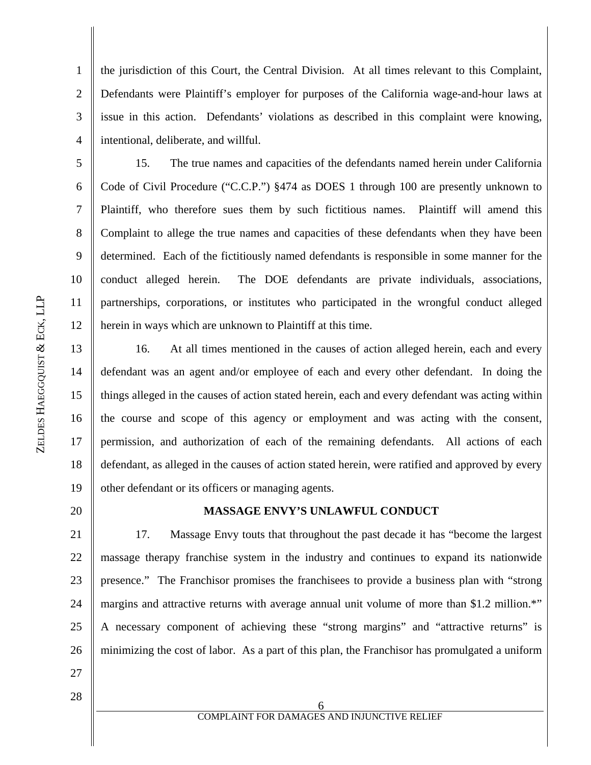1 2 3 4 the jurisdiction of this Court, the Central Division. At all times relevant to this Complaint, Defendants were Plaintiff's employer for purposes of the California wage-and-hour laws at issue in this action. Defendants' violations as described in this complaint were knowing, intentional, deliberate, and willful.

6 7 8 9 10 11 12 15. The true names and capacities of the defendants named herein under California Code of Civil Procedure ("C.C.P.") §474 as DOES 1 through 100 are presently unknown to Plaintiff, who therefore sues them by such fictitious names. Plaintiff will amend this Complaint to allege the true names and capacities of these defendants when they have been determined. Each of the fictitiously named defendants is responsible in some manner for the conduct alleged herein. The DOE defendants are private individuals, associations, partnerships, corporations, or institutes who participated in the wrongful conduct alleged herein in ways which are unknown to Plaintiff at this time.

13 14 15 16 17 18 19 16. At all times mentioned in the causes of action alleged herein, each and every defendant was an agent and/or employee of each and every other defendant. In doing the things alleged in the causes of action stated herein, each and every defendant was acting within the course and scope of this agency or employment and was acting with the consent, permission, and authorization of each of the remaining defendants. All actions of each defendant, as alleged in the causes of action stated herein, were ratified and approved by every other defendant or its officers or managing agents.

## **MASSAGE ENVY'S UNLAWFUL CONDUCT**

21 22 23 24 25 26 17. Massage Envy touts that throughout the past decade it has "become the largest massage therapy franchise system in the industry and continues to expand its nationwide presence." The Franchisor promises the franchisees to provide a business plan with "strong margins and attractive returns with average annual unit volume of more than \$1.2 million.<sup>\*\*</sup> A necessary component of achieving these "strong margins" and "attractive returns" is minimizing the cost of labor. As a part of this plan, the Franchisor has promulgated a uniform

27 28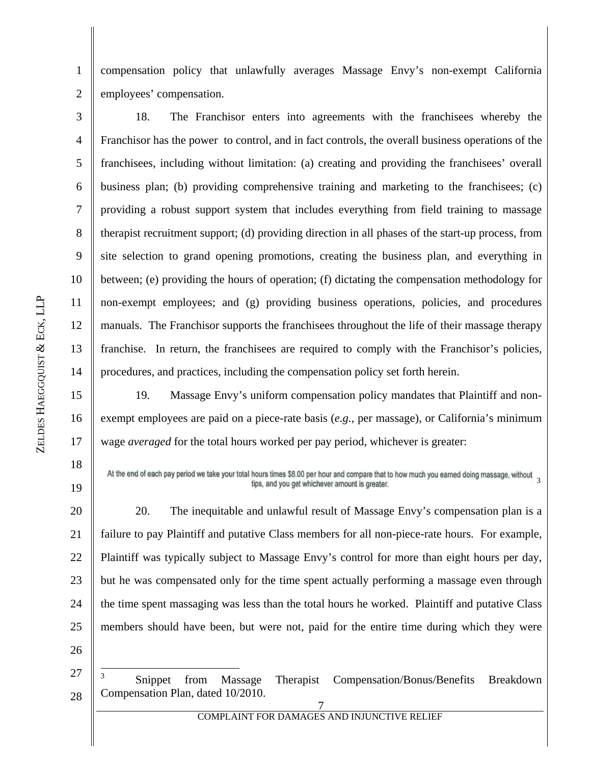1 2 compensation policy that unlawfully averages Massage Envy's non-exempt California employees' compensation.

3 4 5 6 7 8 9 10 11 12 13 14 18. The Franchisor enters into agreements with the franchisees whereby the Franchisor has the power to control, and in fact controls, the overall business operations of the franchisees, including without limitation: (a) creating and providing the franchisees' overall business plan; (b) providing comprehensive training and marketing to the franchisees; (c) providing a robust support system that includes everything from field training to massage therapist recruitment support; (d) providing direction in all phases of the start-up process, from site selection to grand opening promotions, creating the business plan, and everything in between; (e) providing the hours of operation; (f) dictating the compensation methodology for non-exempt employees; and (g) providing business operations, policies, and procedures manuals. The Franchisor supports the franchisees throughout the life of their massage therapy franchise. In return, the franchisees are required to comply with the Franchisor's policies, procedures, and practices, including the compensation policy set forth herein.

15 16 17 19. Massage Envy's uniform compensation policy mandates that Plaintiff and nonexempt employees are paid on a piece-rate basis (*e.g.*, per massage), or California's minimum wage *averaged* for the total hours worked per pay period, whichever is greater:

At the end of each pay period we take your total hours times \$8.00 per hour and compare that to how much you earned doing massage, without tips, and you get whichever amount is greater.

20 21 22 23 24 25 20. The inequitable and unlawful result of Massage Envy's compensation plan is a failure to pay Plaintiff and putative Class members for all non-piece-rate hours. For example, Plaintiff was typically subject to Massage Envy's control for more than eight hours per day, but he was compensated only for the time spent actually performing a massage even through the time spent massaging was less than the total hours he worked. Plaintiff and putative Class members should have been, but were not, paid for the entire time during which they were

26

18

19

27 28 3 Snippet from Massage Therapist Compensation/Bonus/Benefits Breakdown Compensation Plan, dated 10/2010.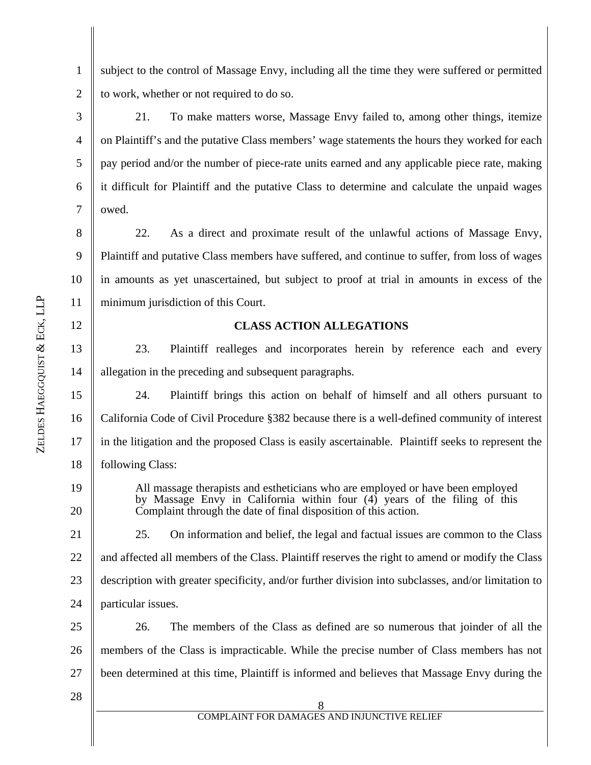12

13

14

19

20

1 2 subject to the control of Massage Envy, including all the time they were suffered or permitted to work, whether or not required to do so.

3 4 5 6 21. To make matters worse, Massage Envy failed to, among other things, itemize on Plaintiff's and the putative Class members' wage statements the hours they worked for each pay period and/or the number of piece-rate units earned and any applicable piece rate, making it difficult for Plaintiff and the putative Class to determine and calculate the unpaid wages owed.

8 9 10 11 22. As a direct and proximate result of the unlawful actions of Massage Envy, Plaintiff and putative Class members have suffered, and continue to suffer, from loss of wages in amounts as yet unascertained, but subject to proof at trial in amounts in excess of the minimum jurisdiction of this Court.

### **CLASS ACTION ALLEGATIONS**

23. Plaintiff realleges and incorporates herein by reference each and every allegation in the preceding and subsequent paragraphs.

15 16 17 18 24. Plaintiff brings this action on behalf of himself and all others pursuant to California Code of Civil Procedure §382 because there is a well-defined community of interest in the litigation and the proposed Class is easily ascertainable. Plaintiff seeks to represent the following Class:

All massage therapists and estheticians who are employed or have been employed by Massage Envy in California within four (4) years of the filing of this Complaint through the date of final disposition of this action.

21 22 23 24 25. On information and belief, the legal and factual issues are common to the Class and affected all members of the Class. Plaintiff reserves the right to amend or modify the Class description with greater specificity, and/or further division into subclasses, and/or limitation to particular issues.

25 26 27 26. The members of the Class as defined are so numerous that joinder of all the members of the Class is impracticable. While the precise number of Class members has not been determined at this time, Plaintiff is informed and believes that Massage Envy during the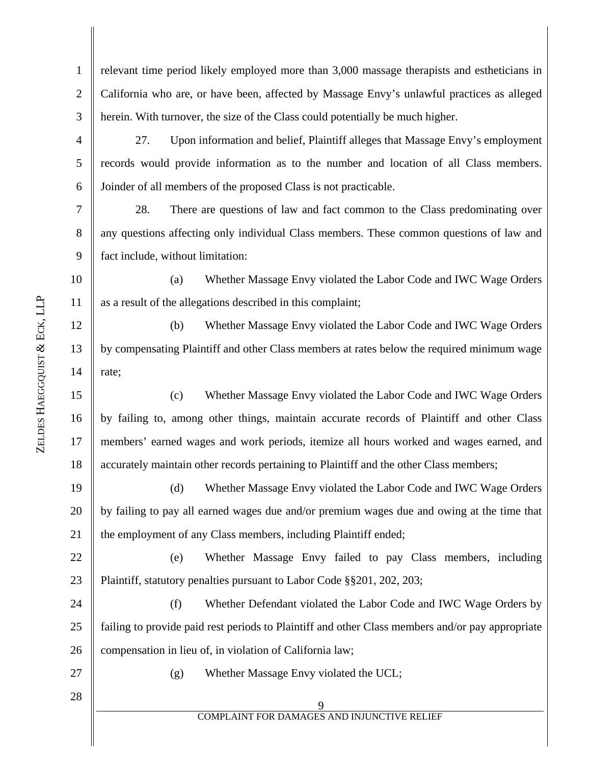9 COMPLAINT FOR DAMAGES AND INJUNCTIVE RELIEF 1 2 3 4 5 6 7 8 9 10 11 12 13 14 15 16 17 18 19 20 21 22 23 24 25 26 27 28 relevant time period likely employed more than 3,000 massage therapists and estheticians in California who are, or have been, affected by Massage Envy's unlawful practices as alleged herein. With turnover, the size of the Class could potentially be much higher. 27. Upon information and belief, Plaintiff alleges that Massage Envy's employment records would provide information as to the number and location of all Class members. Joinder of all members of the proposed Class is not practicable. 28. There are questions of law and fact common to the Class predominating over any questions affecting only individual Class members. These common questions of law and fact include, without limitation: (a) Whether Massage Envy violated the Labor Code and IWC Wage Orders as a result of the allegations described in this complaint; (b) Whether Massage Envy violated the Labor Code and IWC Wage Orders by compensating Plaintiff and other Class members at rates below the required minimum wage rate; (c) Whether Massage Envy violated the Labor Code and IWC Wage Orders by failing to, among other things, maintain accurate records of Plaintiff and other Class members' earned wages and work periods, itemize all hours worked and wages earned, and accurately maintain other records pertaining to Plaintiff and the other Class members; (d) Whether Massage Envy violated the Labor Code and IWC Wage Orders by failing to pay all earned wages due and/or premium wages due and owing at the time that the employment of any Class members, including Plaintiff ended; (e) Whether Massage Envy failed to pay Class members, including Plaintiff, statutory penalties pursuant to Labor Code §§201, 202, 203; (f) Whether Defendant violated the Labor Code and IWC Wage Orders by failing to provide paid rest periods to Plaintiff and other Class members and/or pay appropriate compensation in lieu of, in violation of California law; (g) Whether Massage Envy violated the UCL;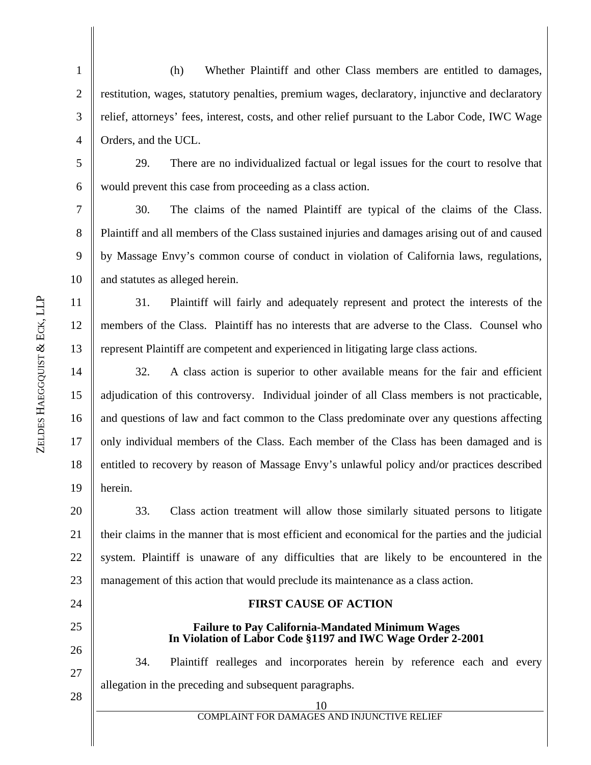1 2 3 4 (h) Whether Plaintiff and other Class members are entitled to damages, restitution, wages, statutory penalties, premium wages, declaratory, injunctive and declaratory relief, attorneys' fees, interest, costs, and other relief pursuant to the Labor Code, IWC Wage Orders, and the UCL.

6 29. There are no individualized factual or legal issues for the court to resolve that would prevent this case from proceeding as a class action.

7 8 9 10 30. The claims of the named Plaintiff are typical of the claims of the Class. Plaintiff and all members of the Class sustained injuries and damages arising out of and caused by Massage Envy's common course of conduct in violation of California laws, regulations, and statutes as alleged herein.

31. Plaintiff will fairly and adequately represent and protect the interests of the members of the Class. Plaintiff has no interests that are adverse to the Class. Counsel who represent Plaintiff are competent and experienced in litigating large class actions.

14 15 16 17 18 19 32. A class action is superior to other available means for the fair and efficient adjudication of this controversy. Individual joinder of all Class members is not practicable, and questions of law and fact common to the Class predominate over any questions affecting only individual members of the Class. Each member of the Class has been damaged and is entitled to recovery by reason of Massage Envy's unlawful policy and/or practices described herein.

20 21 22 23 33. Class action treatment will allow those similarly situated persons to litigate their claims in the manner that is most efficient and economical for the parties and the judicial system. Plaintiff is unaware of any difficulties that are likely to be encountered in the management of this action that would preclude its maintenance as a class action.

24 25 26

# **FIRST CAUSE OF ACTION**

## **Failure to Pay California-Mandated Minimum Wages In Violation of Labor Code §1197 and IWC Wage Order 2-2001**

27 28 34. Plaintiff realleges and incorporates herein by reference each and every allegation in the preceding and subsequent paragraphs.

5

11

12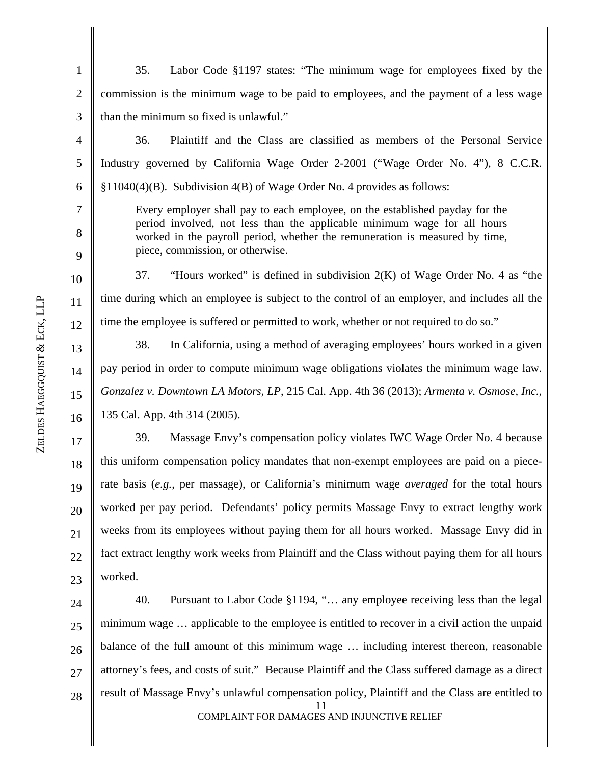11 1 2 3 4 5 6 7 8 9 10 11 12 13 14 15 16 17 18 19 20 21 22 23 24 25 26 27 28 35. Labor Code §1197 states: "The minimum wage for employees fixed by the commission is the minimum wage to be paid to employees, and the payment of a less wage than the minimum so fixed is unlawful." 36. Plaintiff and the Class are classified as members of the Personal Service Industry governed by California Wage Order 2-2001 ("Wage Order No. 4"), 8 C.C.R. §11040(4)(B). Subdivision 4(B) of Wage Order No. 4 provides as follows: Every employer shall pay to each employee, on the established payday for the period involved, not less than the applicable minimum wage for all hours worked in the payroll period, whether the remuneration is measured by time, piece, commission, or otherwise. 37. "Hours worked" is defined in subdivision 2(K) of Wage Order No. 4 as "the time during which an employee is subject to the control of an employer, and includes all the time the employee is suffered or permitted to work, whether or not required to do so." 38. In California, using a method of averaging employees' hours worked in a given pay period in order to compute minimum wage obligations violates the minimum wage law. *Gonzalez v. Downtown LA Motors, LP*, 215 Cal. App. 4th 36 (2013); *Armenta v. Osmose, Inc.*, 135 Cal. App. 4th 314 (2005). 39. Massage Envy's compensation policy violates IWC Wage Order No. 4 because this uniform compensation policy mandates that non-exempt employees are paid on a piecerate basis (*e.g.*, per massage), or California's minimum wage *averaged* for the total hours worked per pay period. Defendants' policy permits Massage Envy to extract lengthy work weeks from its employees without paying them for all hours worked. Massage Envy did in fact extract lengthy work weeks from Plaintiff and the Class without paying them for all hours worked. 40. Pursuant to Labor Code §1194, "… any employee receiving less than the legal minimum wage … applicable to the employee is entitled to recover in a civil action the unpaid balance of the full amount of this minimum wage … including interest thereon, reasonable attorney's fees, and costs of suit." Because Plaintiff and the Class suffered damage as a direct result of Massage Envy's unlawful compensation policy, Plaintiff and the Class are entitled to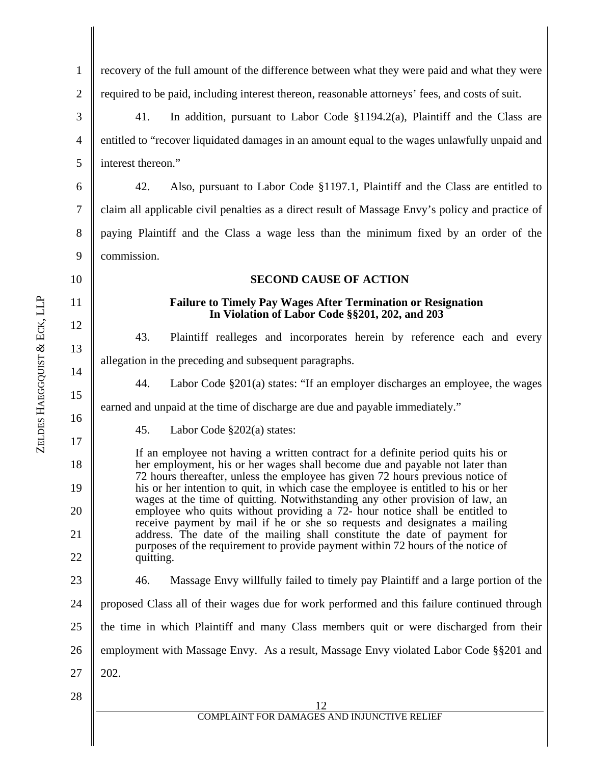| $\overline{2}$ | required to be paid, including interest thereon, reasonable attorneys' fees, and costs of suit.                                                                      |  |  |  |  |
|----------------|----------------------------------------------------------------------------------------------------------------------------------------------------------------------|--|--|--|--|
| 3              | 41.<br>In addition, pursuant to Labor Code $\S1194.2(a)$ , Plaintiff and the Class are                                                                               |  |  |  |  |
| 4              | entitled to "recover liquidated damages in an amount equal to the wages unlawfully unpaid and                                                                        |  |  |  |  |
| 5              | interest thereon."                                                                                                                                                   |  |  |  |  |
| 6              | 42.<br>Also, pursuant to Labor Code §1197.1, Plaintiff and the Class are entitled to                                                                                 |  |  |  |  |
| 7              | claim all applicable civil penalties as a direct result of Massage Envy's policy and practice of                                                                     |  |  |  |  |
| 8              | paying Plaintiff and the Class a wage less than the minimum fixed by an order of the                                                                                 |  |  |  |  |
| 9              | commission.                                                                                                                                                          |  |  |  |  |
| 10             | <b>SECOND CAUSE OF ACTION</b>                                                                                                                                        |  |  |  |  |
| 11             | <b>Failure to Timely Pay Wages After Termination or Resignation</b><br>In Violation of Labor Code §§201, 202, and 203                                                |  |  |  |  |
| 12             | 43.<br>Plaintiff realleges and incorporates herein by reference each and every                                                                                       |  |  |  |  |
| 13             | allegation in the preceding and subsequent paragraphs.                                                                                                               |  |  |  |  |
| 14             | 44.<br>Labor Code §201(a) states: "If an employer discharges an employee, the wages                                                                                  |  |  |  |  |
| 15             | earned and unpaid at the time of discharge are due and payable immediately."                                                                                         |  |  |  |  |
| 16             | 45.<br>Labor Code $\S202(a)$ states:                                                                                                                                 |  |  |  |  |
| 17<br>18       | If an employee not having a written contract for a definite period quits his or<br>her employment, his or her wages shall become due and payable not later than      |  |  |  |  |
| 19             | 72 hours thereafter, unless the employee has given 72 hours previous notice of<br>his or her intention to quit, in which case the employee is entitled to his or her |  |  |  |  |
| 20             | wages at the time of quitting. Notwithstanding any other provision of law, an<br>employee who quits without providing a 72- hour notice shall be entitled to         |  |  |  |  |
| 21             | receive payment by mail if he or she so requests and designates a mailing<br>address. The date of the mailing shall constitute the date of payment for               |  |  |  |  |
| 22             | purposes of the requirement to provide payment within 72 hours of the notice of<br>quitting.                                                                         |  |  |  |  |
| 23             | Massage Envy willfully failed to timely pay Plaintiff and a large portion of the<br>46.                                                                              |  |  |  |  |
| 24             | proposed Class all of their wages due for work performed and this failure continued through                                                                          |  |  |  |  |
| 25             | the time in which Plaintiff and many Class members quit or were discharged from their                                                                                |  |  |  |  |
| 26             | employment with Massage Envy. As a result, Massage Envy violated Labor Code §§201 and                                                                                |  |  |  |  |
| 27             | 202.                                                                                                                                                                 |  |  |  |  |
| 28             |                                                                                                                                                                      |  |  |  |  |
|                | 12<br><b>COMPLAINT FOR DAMAGES AND INJUNCTIVE RELIEF</b>                                                                                                             |  |  |  |  |

recovery of the full amount of the difference between what they were paid and what they were

║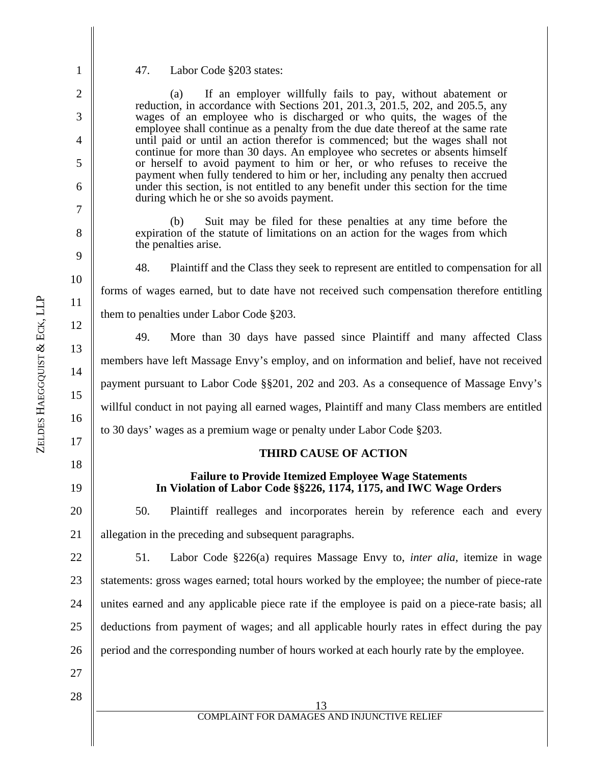47. Labor Code §203 states:

 (a) If an employer willfully fails to pay, without abatement or reduction, in accordance with Sections 201, 201.3, 201.5, 202, and 205.5, any wages of an employee who is discharged or who quits, the wages of the employee shall continue as a penalty from the due date thereof at the same rate until paid or until an action therefor is commenced; but the wages shall not continue for more than 30 days. An employee who secretes or absents himself or herself to avoid payment to him or her, or who refuses to receive the payment when fully tendered to him or her, including any penalty then accrued under this section, is not entitled to any benefit under this section for the time during which he or she so avoids payment.

 (b) Suit may be filed for these penalties at any time before the expiration of the statute of limitations on an action for the wages from which the penalties arise.

48. Plaintiff and the Class they seek to represent are entitled to compensation for all forms of wages earned, but to date have not received such compensation therefore entitling them to penalties under Labor Code §203.

49. More than 30 days have passed since Plaintiff and many affected Class members have left Massage Envy's employ, and on information and belief, have not received payment pursuant to Labor Code §§201, 202 and 203. As a consequence of Massage Envy's willful conduct in not paying all earned wages, Plaintiff and many Class members are entitled to 30 days' wages as a premium wage or penalty under Labor Code §203.

#### **THIRD CAUSE OF ACTION**

#### **Failure to Provide Itemized Employee Wage Statements In Violation of Labor Code §§226, 1174, 1175, and IWC Wage Orders**

20 21 50. Plaintiff realleges and incorporates herein by reference each and every allegation in the preceding and subsequent paragraphs.

22 23 24 25 26 51. Labor Code §226(a) requires Massage Envy to, *inter alia*, itemize in wage statements: gross wages earned; total hours worked by the employee; the number of piece-rate unites earned and any applicable piece rate if the employee is paid on a piece-rate basis; all deductions from payment of wages; and all applicable hourly rates in effect during the pay period and the corresponding number of hours worked at each hourly rate by the employee.

- 27
- 28

1

2

3

4

5

6

7

8

9

10

11

12

13

14

15

16

17

18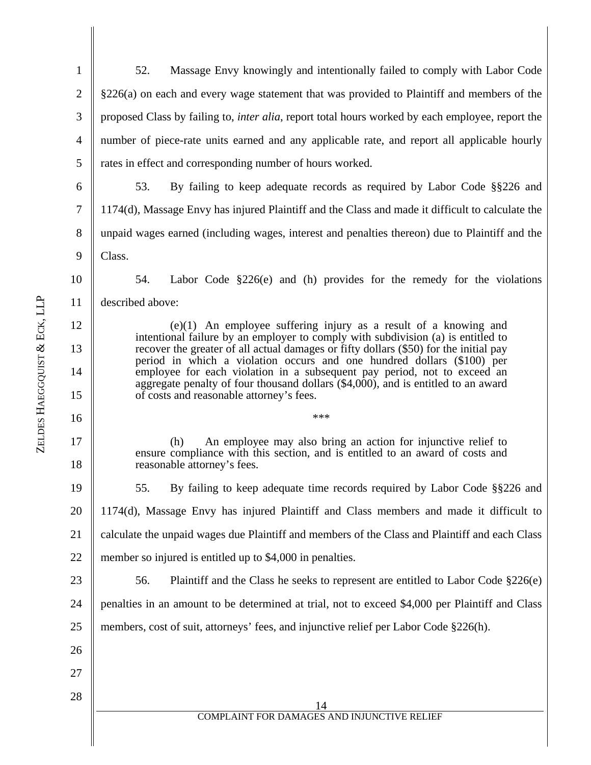| $\mathbf{1}$     | 52.<br>Massage Envy knowingly and intentionally failed to comply with Labor Code                                                                                                     |  |  |  |
|------------------|--------------------------------------------------------------------------------------------------------------------------------------------------------------------------------------|--|--|--|
| $\mathbf{2}$     | §226(a) on each and every wage statement that was provided to Plaintiff and members of the                                                                                           |  |  |  |
| $\mathfrak{Z}$   | proposed Class by failing to, <i>inter alia</i> , report total hours worked by each employee, report the                                                                             |  |  |  |
| $\overline{4}$   | number of piece-rate units earned and any applicable rate, and report all applicable hourly                                                                                          |  |  |  |
| $\mathfrak{S}$   | rates in effect and corresponding number of hours worked.                                                                                                                            |  |  |  |
| 6                | 53.<br>By failing to keep adequate records as required by Labor Code §§226 and                                                                                                       |  |  |  |
| $\boldsymbol{7}$ | 1174(d), Massage Envy has injured Plaintiff and the Class and made it difficult to calculate the                                                                                     |  |  |  |
| $8\,$            | unpaid wages earned (including wages, interest and penalties thereon) due to Plaintiff and the                                                                                       |  |  |  |
| $\mathbf{9}$     | Class.                                                                                                                                                                               |  |  |  |
| 10               | 54.<br>Labor Code $\S 226(e)$ and (h) provides for the remedy for the violations                                                                                                     |  |  |  |
| 11               | described above:                                                                                                                                                                     |  |  |  |
| 12               | $(e)(1)$ An employee suffering injury as a result of a knowing and                                                                                                                   |  |  |  |
| 13               | intentional failure by an employer to comply with subdivision (a) is entitled to<br>recover the greater of all actual damages or fifty dollars (\$50) for the initial pay            |  |  |  |
| 14               | period in which a violation occurs and one hundred dollars (\$100) per<br>employee for each violation in a subsequent pay period, not to exceed an                                   |  |  |  |
| 15               | aggregate penalty of four thousand dollars (\$4,000), and is entitled to an award<br>of costs and reasonable attorney's fees.                                                        |  |  |  |
| 16               | ***                                                                                                                                                                                  |  |  |  |
| 17<br>18         | An employee may also bring an action for injunctive relief to<br>(h)<br>ensure compliance with this section, and is entitled to an award of costs and<br>reasonable attorney's fees. |  |  |  |
| 19               | 55.<br>By failing to keep adequate time records required by Labor Code §§226 and                                                                                                     |  |  |  |
| 20               | 1174(d), Massage Envy has injured Plaintiff and Class members and made it difficult to                                                                                               |  |  |  |
| 21               | calculate the unpaid wages due Plaintiff and members of the Class and Plaintiff and each Class                                                                                       |  |  |  |
| 22               | member so injured is entitled up to \$4,000 in penalties.                                                                                                                            |  |  |  |
| 23               | Plaintiff and the Class he seeks to represent are entitled to Labor Code $\S226(e)$<br>56.                                                                                           |  |  |  |
| 24               | penalties in an amount to be determined at trial, not to exceed \$4,000 per Plaintiff and Class                                                                                      |  |  |  |
| 25               | members, cost of suit, attorneys' fees, and injunctive relief per Labor Code §226(h).                                                                                                |  |  |  |
| 26               |                                                                                                                                                                                      |  |  |  |
| 27               |                                                                                                                                                                                      |  |  |  |
| 28               | 14<br>COMPLAINT FOR DAMAGES AND INJUNCTIVE RELIEF                                                                                                                                    |  |  |  |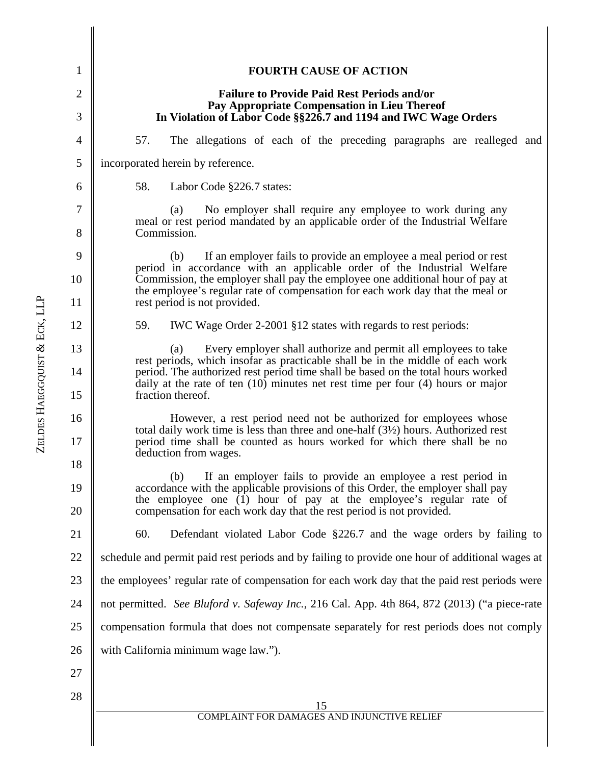| 1              | <b>FOURTH CAUSE OF ACTION</b>                                                                                                                                                                                                                                                                        |  |  |  |
|----------------|------------------------------------------------------------------------------------------------------------------------------------------------------------------------------------------------------------------------------------------------------------------------------------------------------|--|--|--|
| $\overline{2}$ | <b>Failure to Provide Paid Rest Periods and/or</b>                                                                                                                                                                                                                                                   |  |  |  |
| 3              | Pay Appropriate Compensation in Lieu Thereof<br>In Violation of Labor Code §§226.7 and 1194 and IWC Wage Orders                                                                                                                                                                                      |  |  |  |
| $\overline{4}$ | 57.<br>The allegations of each of the preceding paragraphs are realleged and                                                                                                                                                                                                                         |  |  |  |
| 5              | incorporated herein by reference.                                                                                                                                                                                                                                                                    |  |  |  |
| 6              | 58.<br>Labor Code §226.7 states:                                                                                                                                                                                                                                                                     |  |  |  |
| 7<br>8         | No employer shall require any employee to work during any<br>(a)<br>meal or rest period mandated by an applicable order of the Industrial Welfare<br>Commission.                                                                                                                                     |  |  |  |
| 9              | If an employer fails to provide an employee a meal period or rest<br>(b)                                                                                                                                                                                                                             |  |  |  |
| 10             | period in accordance with an applicable order of the Industrial Welfare<br>Commission, the employer shall pay the employee one additional hour of pay at<br>the employee's regular rate of compensation for each work day that the meal or                                                           |  |  |  |
| 11             | rest period is not provided.                                                                                                                                                                                                                                                                         |  |  |  |
| 12             | 59.<br>IWC Wage Order 2-2001 §12 states with regards to rest periods:                                                                                                                                                                                                                                |  |  |  |
| 13             | Every employer shall authorize and permit all employees to take<br>(a)<br>rest periods, which insofar as practicable shall be in the middle of each work                                                                                                                                             |  |  |  |
| 14<br>15       | period. The authorized rest period time shall be based on the total hours worked<br>daily at the rate of ten $(10)$ minutes net rest time per four $(4)$ hours or major<br>fraction thereof.                                                                                                         |  |  |  |
| 16<br>17       | However, a rest period need not be authorized for employees whose<br>total daily work time is less than three and one-half $(3\frac{1}{2})$ hours. Authorized rest<br>period time shall be counted as hours worked for which there shall be no<br>deduction from wages.                              |  |  |  |
| 18<br>19<br>20 | If an employer fails to provide an employee a rest period in<br>(b)<br>accordance with the applicable provisions of this Order, the employer shall pay<br>the employee one (1) hour of pay at the employee's regular rate of<br>compensation for each work day that the rest period is not provided. |  |  |  |
| 21             | Defendant violated Labor Code §226.7 and the wage orders by failing to<br>60.                                                                                                                                                                                                                        |  |  |  |
| 22             | schedule and permit paid rest periods and by failing to provide one hour of additional wages at                                                                                                                                                                                                      |  |  |  |
| 23             | the employees' regular rate of compensation for each work day that the paid rest periods were                                                                                                                                                                                                        |  |  |  |
| 24             | not permitted. See Bluford v. Safeway Inc., 216 Cal. App. 4th 864, 872 (2013) ("a piece-rate                                                                                                                                                                                                         |  |  |  |
| 25             | compensation formula that does not compensate separately for rest periods does not comply                                                                                                                                                                                                            |  |  |  |
| 26             | with California minimum wage law.").                                                                                                                                                                                                                                                                 |  |  |  |
| 27             |                                                                                                                                                                                                                                                                                                      |  |  |  |
| 28             | COMPLAINT FOR DAMAGES AND INJUNCTIVE RELIEF                                                                                                                                                                                                                                                          |  |  |  |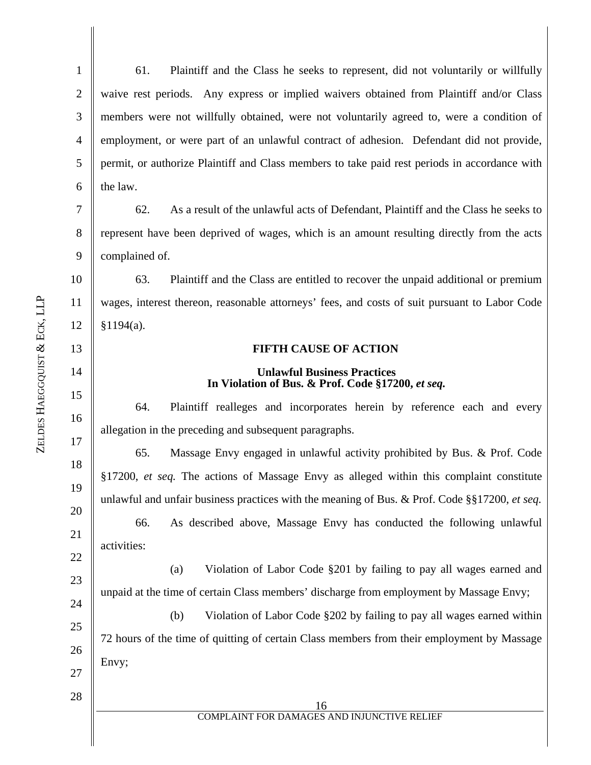11

12

13

14

15

16

17

18

19

20

21

22

23

24

1 2 3 4 5 6 61. Plaintiff and the Class he seeks to represent, did not voluntarily or willfully waive rest periods. Any express or implied waivers obtained from Plaintiff and/or Class members were not willfully obtained, were not voluntarily agreed to, were a condition of employment, or were part of an unlawful contract of adhesion. Defendant did not provide, permit, or authorize Plaintiff and Class members to take paid rest periods in accordance with the law.

7 8 9 62. As a result of the unlawful acts of Defendant, Plaintiff and the Class he seeks to represent have been deprived of wages, which is an amount resulting directly from the acts complained of.

63. Plaintiff and the Class are entitled to recover the unpaid additional or premium wages, interest thereon, reasonable attorneys' fees, and costs of suit pursuant to Labor Code  $§1194(a).$ 

### **FIFTH CAUSE OF ACTION**

### **Unlawful Business Practices**  In Violation of Bus. & Prof. Code §17200, *et seq.*

64. Plaintiff realleges and incorporates herein by reference each and every allegation in the preceding and subsequent paragraphs.

65. Massage Envy engaged in unlawful activity prohibited by Bus. & Prof. Code §17200, *et seq.* The actions of Massage Envy as alleged within this complaint constitute unlawful and unfair business practices with the meaning of Bus. & Prof. Code §§17200, *et seq.* 66. As described above, Massage Envy has conducted the following unlawful activities:

(a) Violation of Labor Code §201 by failing to pay all wages earned and unpaid at the time of certain Class members' discharge from employment by Massage Envy;

25 26 27 (b) Violation of Labor Code §202 by failing to pay all wages earned within 72 hours of the time of quitting of certain Class members from their employment by Massage Envy;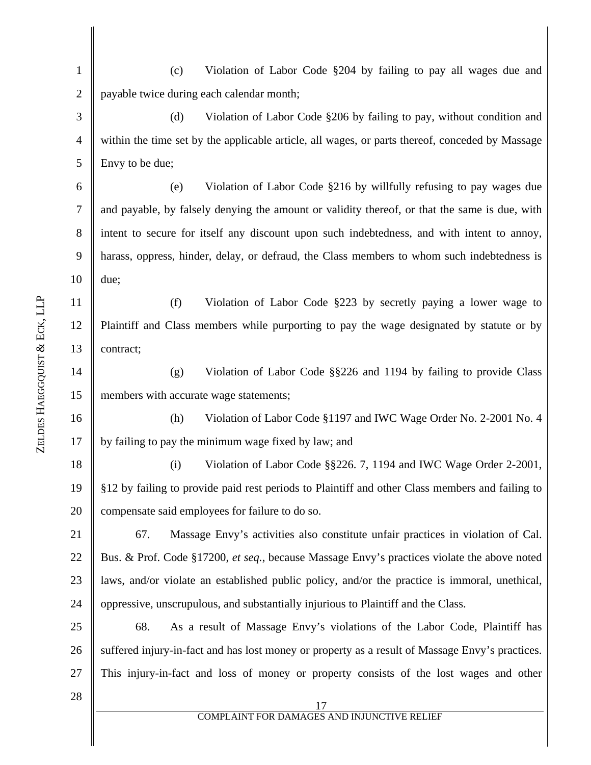1 2 (c) Violation of Labor Code §204 by failing to pay all wages due and payable twice during each calendar month;

3 4 5 (d) Violation of Labor Code §206 by failing to pay, without condition and within the time set by the applicable article, all wages, or parts thereof, conceded by Massage Envy to be due;

6 7 8 9 10 (e) Violation of Labor Code §216 by willfully refusing to pay wages due and payable, by falsely denying the amount or validity thereof, or that the same is due, with intent to secure for itself any discount upon such indebtedness, and with intent to annoy, harass, oppress, hinder, delay, or defraud, the Class members to whom such indebtedness is due;

11 12 13 (f) Violation of Labor Code §223 by secretly paying a lower wage to Plaintiff and Class members while purporting to pay the wage designated by statute or by contract;

14 15 (g) Violation of Labor Code §§226 and 1194 by failing to provide Class members with accurate wage statements;

16 17 (h) Violation of Labor Code §1197 and IWC Wage Order No. 2-2001 No. 4 by failing to pay the minimum wage fixed by law; and

18 19 20 (i) Violation of Labor Code §§226. 7, 1194 and IWC Wage Order 2-2001, §12 by failing to provide paid rest periods to Plaintiff and other Class members and failing to compensate said employees for failure to do so.

21 22 23 24 67. Massage Envy's activities also constitute unfair practices in violation of Cal. Bus. & Prof. Code §17200, *et seq.*, because Massage Envy's practices violate the above noted laws, and/or violate an established public policy, and/or the practice is immoral, unethical, oppressive, unscrupulous, and substantially injurious to Plaintiff and the Class.

25 26 27 68. As a result of Massage Envy's violations of the Labor Code, Plaintiff has suffered injury-in-fact and has lost money or property as a result of Massage Envy's practices. This injury-in-fact and loss of money or property consists of the lost wages and other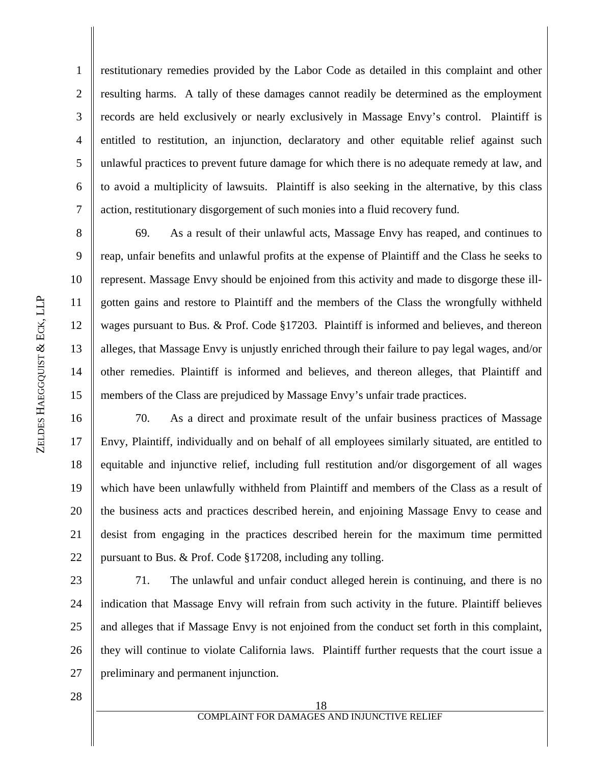ZELDES

1

2

5

3 4 restitutionary remedies provided by the Labor Code as detailed in this complaint and other resulting harms. A tally of these damages cannot readily be determined as the employment records are held exclusively or nearly exclusively in Massage Envy's control. Plaintiff is entitled to restitution, an injunction, declaratory and other equitable relief against such unlawful practices to prevent future damage for which there is no adequate remedy at law, and to avoid a multiplicity of lawsuits. Plaintiff is also seeking in the alternative, by this class action, restitutionary disgorgement of such monies into a fluid recovery fund.

69. As a result of their unlawful acts, Massage Envy has reaped, and continues to reap, unfair benefits and unlawful profits at the expense of Plaintiff and the Class he seeks to represent. Massage Envy should be enjoined from this activity and made to disgorge these illgotten gains and restore to Plaintiff and the members of the Class the wrongfully withheld wages pursuant to Bus. & Prof. Code §17203. Plaintiff is informed and believes, and thereon alleges, that Massage Envy is unjustly enriched through their failure to pay legal wages, and/or other remedies. Plaintiff is informed and believes, and thereon alleges, that Plaintiff and members of the Class are prejudiced by Massage Envy's unfair trade practices.

16 17 18 19 20 21 22 70. As a direct and proximate result of the unfair business practices of Massage Envy, Plaintiff, individually and on behalf of all employees similarly situated, are entitled to equitable and injunctive relief, including full restitution and/or disgorgement of all wages which have been unlawfully withheld from Plaintiff and members of the Class as a result of the business acts and practices described herein, and enjoining Massage Envy to cease and desist from engaging in the practices described herein for the maximum time permitted pursuant to Bus. & Prof. Code §17208, including any tolling.

23 24 25 26 27 71. The unlawful and unfair conduct alleged herein is continuing, and there is no indication that Massage Envy will refrain from such activity in the future. Plaintiff believes and alleges that if Massage Envy is not enjoined from the conduct set forth in this complaint, they will continue to violate California laws. Plaintiff further requests that the court issue a preliminary and permanent injunction.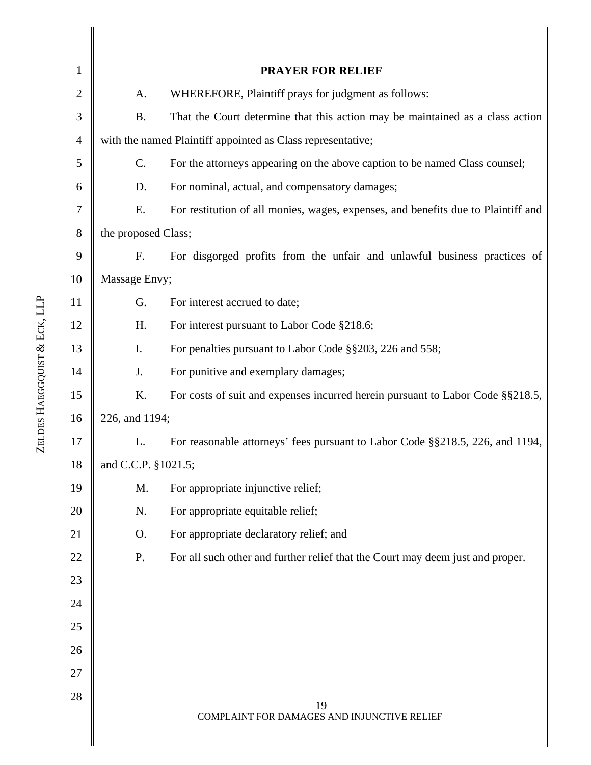| 1              |                     | <b>PRAYER FOR RELIEF</b>                                                          |  |  |  |
|----------------|---------------------|-----------------------------------------------------------------------------------|--|--|--|
| $\overline{2}$ | A.                  | WHEREFORE, Plaintiff prays for judgment as follows:                               |  |  |  |
| 3              | <b>B.</b>           | That the Court determine that this action may be maintained as a class action     |  |  |  |
| $\overline{4}$ |                     | with the named Plaintiff appointed as Class representative;                       |  |  |  |
| 5              | C.                  | For the attorneys appearing on the above caption to be named Class counsel;       |  |  |  |
| 6              | D.                  | For nominal, actual, and compensatory damages;                                    |  |  |  |
| 7              | Ε.                  | For restitution of all monies, wages, expenses, and benefits due to Plaintiff and |  |  |  |
| 8              | the proposed Class; |                                                                                   |  |  |  |
| 9              | F.                  | For disgorged profits from the unfair and unlawful business practices of          |  |  |  |
| 10             | Massage Envy;       |                                                                                   |  |  |  |
| 11             | G.                  | For interest accrued to date;                                                     |  |  |  |
| 12             | H.                  | For interest pursuant to Labor Code §218.6;                                       |  |  |  |
| 13             | Ι.                  | For penalties pursuant to Labor Code §§203, 226 and 558;                          |  |  |  |
| 14             | J.                  | For punitive and exemplary damages;                                               |  |  |  |
| 15             | K.                  | For costs of suit and expenses incurred herein pursuant to Labor Code §§218.5,    |  |  |  |
| 16             | 226, and 1194;      |                                                                                   |  |  |  |
| 17             | L.                  | For reasonable attorneys' fees pursuant to Labor Code §§218.5, 226, and 1194,     |  |  |  |
| 18             | and C.C.P. §1021.5; |                                                                                   |  |  |  |
| 19             | M.                  | For appropriate injunctive relief;                                                |  |  |  |
| 20             | N.                  | For appropriate equitable relief;                                                 |  |  |  |
| 21             | O.                  | For appropriate declaratory relief; and                                           |  |  |  |
| 22             | P.                  | For all such other and further relief that the Court may deem just and proper.    |  |  |  |
| 23             |                     |                                                                                   |  |  |  |
| 24             |                     |                                                                                   |  |  |  |
| 25             |                     |                                                                                   |  |  |  |
| 26             |                     |                                                                                   |  |  |  |
| 27             |                     |                                                                                   |  |  |  |
| 28             |                     | 19                                                                                |  |  |  |
|                |                     | <b>COMPLAINT FOR DAMAGES AND INJUNCTIVE RELIEF</b>                                |  |  |  |
|                |                     |                                                                                   |  |  |  |